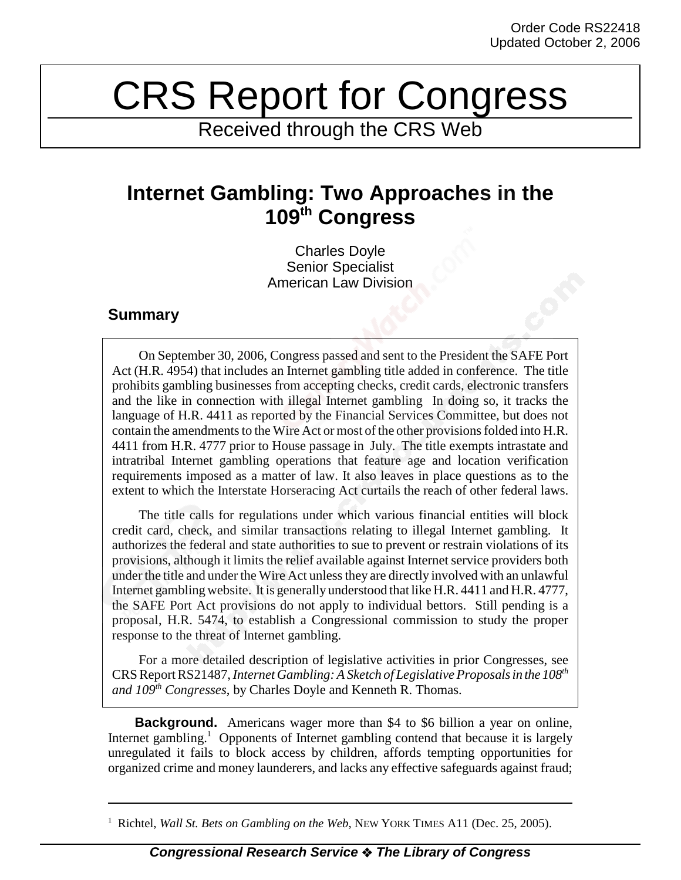## CRS Report for Congress

Received through the CRS Web

## **Internet Gambling: Two Approaches in the 109th Congress**

Charles Doyle Senior Specialist American Law Division

## **Summary**

On September 30, 2006, Congress passed and sent to the President the SAFE Port Act (H.R. 4954) that includes an Internet gambling title added in conference. The title prohibits gambling businesses from accepting checks, credit cards, electronic transfers and the like in connection with illegal Internet gambling In doing so, it tracks the language of H.R. 4411 as reported by the Financial Services Committee, but does not contain the amendments to the Wire Act or most of the other provisions folded into H.R. 4411 from H.R. 4777 prior to House passage in July. The title exempts intrastate and intratribal Internet gambling operations that feature age and location verification requirements imposed as a matter of law. It also leaves in place questions as to the extent to which the Interstate Horseracing Act curtails the reach of other federal laws.

The title calls for regulations under which various financial entities will block credit card, check, and similar transactions relating to illegal Internet gambling. It authorizes the federal and state authorities to sue to prevent or restrain violations of its provisions, although it limits the relief available against Internet service providers both under the title and under the Wire Act unless they are directly involved with an unlawful Internet gambling website. It is generally understood that like H.R. 4411 and H.R. 4777, the SAFE Port Act provisions do not apply to individual bettors. Still pending is a proposal, H.R. 5474, to establish a Congressional commission to study the proper response to the threat of Internet gambling.

For a more detailed description of legislative activities in prior Congresses, see CRS Report RS21487, *Internet Gambling: A Sketch of Legislative Proposals in the 108th and 109th Congresses*, by Charles Doyle and Kenneth R. Thomas.

**Background.** Americans wager more than \$4 to \$6 billion a year on online, Internet gambling.<sup>1</sup> Opponents of Internet gambling contend that because it is largely unregulated it fails to block access by children, affords tempting opportunities for organized crime and money launderers, and lacks any effective safeguards against fraud;

<sup>&</sup>lt;sup>1</sup> Richtel, *Wall St. Bets on Gambling on the Web*, NEW YORK TIMES A11 (Dec. 25, 2005).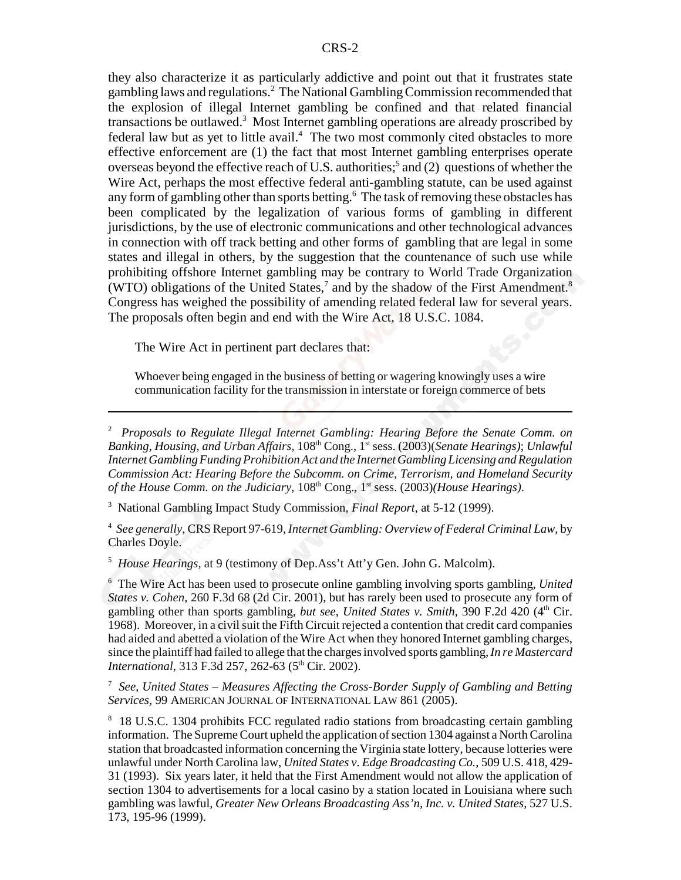they also characterize it as particularly addictive and point out that it frustrates state gambling laws and regulations.<sup>2</sup> The National Gambling Commission recommended that the explosion of illegal Internet gambling be confined and that related financial transactions be outlawed.<sup>3</sup> Most Internet gambling operations are already proscribed by federal law but as yet to little avail.<sup>4</sup> The two most commonly cited obstacles to more effective enforcement are (1) the fact that most Internet gambling enterprises operate overseas beyond the effective reach of U.S. authorities;<sup>5</sup> and (2) questions of whether the Wire Act, perhaps the most effective federal anti-gambling statute, can be used against any form of gambling other than sports betting.<sup>6</sup> The task of removing these obstacles has been complicated by the legalization of various forms of gambling in different jurisdictions, by the use of electronic communications and other technological advances in connection with off track betting and other forms of gambling that are legal in some states and illegal in others, by the suggestion that the countenance of such use while prohibiting offshore Internet gambling may be contrary to World Trade Organization (WTO) obligations of the United States, $7$  and by the shadow of the First Amendment.<sup>8</sup> Congress has weighed the possibility of amending related federal law for several years. The proposals often begin and end with the Wire Act, 18 U.S.C. 1084.

The Wire Act in pertinent part declares that:

Whoever being engaged in the business of betting or wagering knowingly uses a wire communication facility for the transmission in interstate or foreign commerce of bets

3 National Gambling Impact Study Commission, *Final Report*, at 5-12 (1999).

4 *See generally*, CRS Report 97-619, *Internet Gambling: Overview of Federal Criminal Law*, by Charles Doyle.

5 *House Hearings*, at 9 (testimony of Dep.Ass't Att'y Gen. John G. Malcolm).

6 The Wire Act has been used to prosecute online gambling involving sports gambling, *United States v. Cohen*, 260 F.3d 68 (2d Cir. 2001), but has rarely been used to prosecute any form of gambling other than sports gambling, *but see*, *United States v. Smith*, 390 F.2d 420 (4<sup>th</sup> Cir. 1968). Moreover, in a civil suit the Fifth Circuit rejected a contention that credit card companies had aided and abetted a violation of the Wire Act when they honored Internet gambling charges, since the plaintiff had failed to allege that the charges involved sports gambling, *In re Mastercard International*, 313 F.3d 257, 262-63 (5<sup>th</sup> Cir. 2002).

7 *See*, *United States – Measures Affecting the Cross-Border Supply of Gambling and Betting Services*, 99 AMERICAN JOURNAL OF INTERNATIONAL LAW 861 (2005).

<sup>8</sup> 18 U.S.C. 1304 prohibits FCC regulated radio stations from broadcasting certain gambling information. The Supreme Court upheld the application of section 1304 against a North Carolina station that broadcasted information concerning the Virginia state lottery, because lotteries were unlawful under North Carolina law, *United States v. Edge Broadcasting Co.*, 509 U.S. 418, 429- 31 (1993). Six years later, it held that the First Amendment would not allow the application of section 1304 to advertisements for a local casino by a station located in Louisiana where such gambling was lawful, *Greater New Orleans Broadcasting Ass'n, Inc. v. United States*, 527 U.S. 173, 195-96 (1999).

<sup>2</sup> *Proposals to Regulate Illegal Internet Gambling: Hearing Before the Senate Comm. on Banking, Housing, and Urban Affairs*, 108th Cong., 1st sess. (2003)(*Senate Hearings)*; *Unlawful Internet Gambling Funding Prohibition Act and the Internet Gambling Licensing and Regulation Commission Act: Hearing Before the Subcomm. on Crime, Terrorism, and Homeland Security of the House Comm. on the Judiciary,*  $108<sup>th</sup> Cong., 1<sup>st</sup> sess. (2003)*(House Hearings)*.$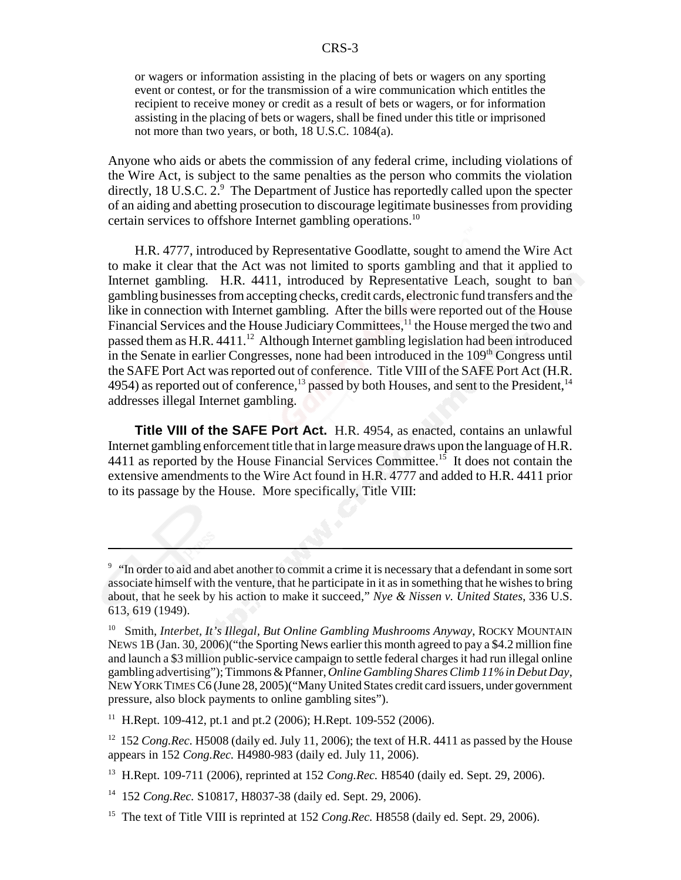or wagers or information assisting in the placing of bets or wagers on any sporting event or contest, or for the transmission of a wire communication which entitles the recipient to receive money or credit as a result of bets or wagers, or for information assisting in the placing of bets or wagers, shall be fined under this title or imprisoned not more than two years, or both, 18 U.S.C. 1084(a).

Anyone who aids or abets the commission of any federal crime, including violations of the Wire Act, is subject to the same penalties as the person who commits the violation directly, 18 U.S.C. 2.9 The Department of Justice has reportedly called upon the specter of an aiding and abetting prosecution to discourage legitimate businesses from providing certain services to offshore Internet gambling operations.10

H.R. 4777, introduced by Representative Goodlatte, sought to amend the Wire Act to make it clear that the Act was not limited to sports gambling and that it applied to Internet gambling. H.R. 4411, introduced by Representative Leach, sought to ban gambling businesses from accepting checks, credit cards, electronic fund transfers and the like in connection with Internet gambling. After the bills were reported out of the House Financial Services and the House Judiciary Committees,<sup>11</sup> the House merged the two and passed them as H.R. 4411.<sup>12</sup> Although Internet gambling legislation had been introduced in the Senate in earlier Congresses, none had been introduced in the  $109<sup>th</sup>$  Congress until the SAFE Port Act was reported out of conference. Title VIII of the SAFE Port Act (H.R. 4954) as reported out of conference,<sup>13</sup> passed by both Houses, and sent to the President,<sup>14</sup> addresses illegal Internet gambling.

**Title VIII of the SAFE Port Act.** H.R. 4954, as enacted, contains an unlawful Internet gambling enforcement title that in large measure draws upon the language of H.R. 4411 as reported by the House Financial Services Committee.<sup>15</sup> It does not contain the extensive amendments to the Wire Act found in H.R. 4777 and added to H.R. 4411 prior to its passage by the House. More specifically, Title VIII:

<sup>&</sup>lt;sup>9</sup> "In order to aid and abet another to commit a crime it is necessary that a defendant in some sort associate himself with the venture, that he participate in it as in something that he wishes to bring about, that he seek by his action to make it succeed," *Nye & Nissen v. United States*, 336 U.S. 613, 619 (1949).

<sup>&</sup>lt;sup>10</sup> Smith, *Interbet, It's Illegal, But Online Gambling Mushrooms Anyway*, ROCKY MOUNTAIN NEWS 1B (Jan. 30, 2006)("the Sporting News earlier this month agreed to pay a \$4.2 million fine and launch a \$3 million public-service campaign to settle federal charges it had run illegal online gambling advertising"); Timmons & Pfanner, *Online Gambling Shares Climb 11% in Debut Day*, NEW YORK TIMES C6 (June 28, 2005)("Many United States credit card issuers, under government pressure, also block payments to online gambling sites").

<sup>&</sup>lt;sup>11</sup> H.Rept. 109-412, pt.1 and pt.2 (2006); H.Rept. 109-552 (2006).

<sup>&</sup>lt;sup>12</sup> 152 *Cong.Rec.* H5008 (daily ed. July 11, 2006); the text of H.R. 4411 as passed by the House appears in 152 *Cong.Rec.* H4980-983 (daily ed. July 11, 2006).

<sup>13</sup> H.Rept. 109-711 (2006), reprinted at 152 *Cong.Rec.* H8540 (daily ed. Sept. 29, 2006).

<sup>14 152</sup> *Cong.Rec.* S10817, H8037-38 (daily ed. Sept. 29, 2006).

<sup>&</sup>lt;sup>15</sup> The text of Title VIII is reprinted at 152 *Cong.Rec.* H8558 (daily ed. Sept. 29, 2006).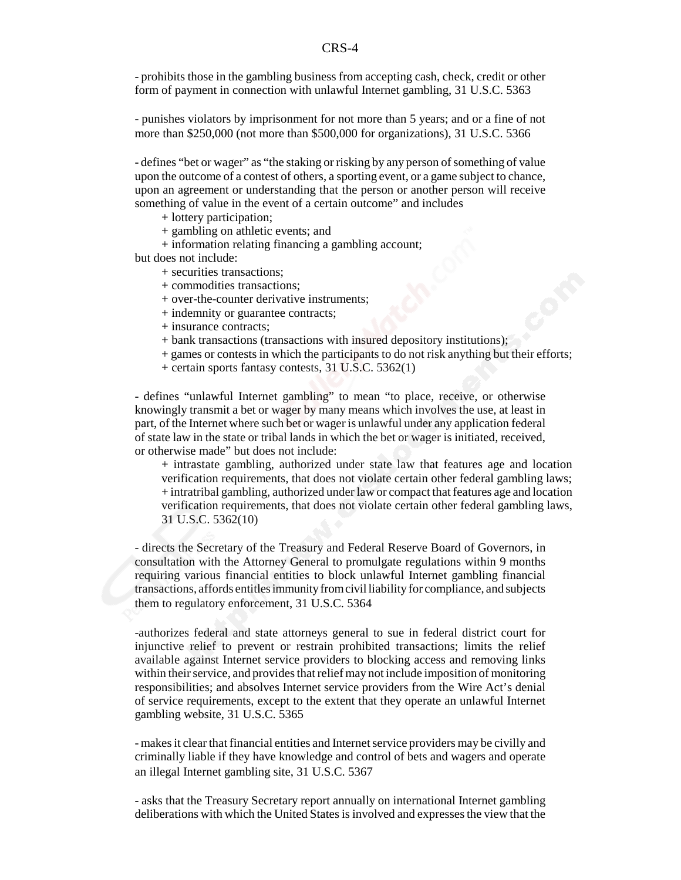- prohibits those in the gambling business from accepting cash, check, credit or other form of payment in connection with unlawful Internet gambling, 31 U.S.C. 5363

- punishes violators by imprisonment for not more than 5 years; and or a fine of not more than \$250,000 (not more than \$500,000 for organizations), 31 U.S.C. 5366

- defines "bet or wager" as "the staking or risking by any person of something of value upon the outcome of a contest of others, a sporting event, or a game subject to chance, upon an agreement or understanding that the person or another person will receive something of value in the event of a certain outcome" and includes

+ lottery participation;

+ gambling on athletic events; and

+ information relating financing a gambling account;

but does not include:

+ securities transactions;

+ commodities transactions;

+ over-the-counter derivative instruments;

+ indemnity or guarantee contracts;

+ insurance contracts;

+ bank transactions (transactions with insured depository institutions);

+ games or contests in which the participants to do not risk anything but their efforts;

+ certain sports fantasy contests, 31 U.S.C. 5362(1)

- defines "unlawful Internet gambling" to mean "to place, receive, or otherwise knowingly transmit a bet or wager by many means which involves the use, at least in part, of the Internet where such bet or wager is unlawful under any application federal of state law in the state or tribal lands in which the bet or wager is initiated, received, or otherwise made" but does not include:

+ intrastate gambling, authorized under state law that features age and location verification requirements, that does not violate certain other federal gambling laws; + intratribal gambling, authorized under law or compact that features age and location verification requirements, that does not violate certain other federal gambling laws, 31 U.S.C. 5362(10)

- directs the Secretary of the Treasury and Federal Reserve Board of Governors, in consultation with the Attorney General to promulgate regulations within 9 months requiring various financial entities to block unlawful Internet gambling financial transactions, affords entitles immunity from civil liability for compliance, and subjects them to regulatory enforcement, 31 U.S.C. 5364

-authorizes federal and state attorneys general to sue in federal district court for injunctive relief to prevent or restrain prohibited transactions; limits the relief available against Internet service providers to blocking access and removing links within their service, and provides that relief may not include imposition of monitoring responsibilities; and absolves Internet service providers from the Wire Act's denial of service requirements, except to the extent that they operate an unlawful Internet gambling website, 31 U.S.C. 5365

- makes it clear that financial entities and Internet service providers may be civilly and criminally liable if they have knowledge and control of bets and wagers and operate an illegal Internet gambling site, 31 U.S.C. 5367

- asks that the Treasury Secretary report annually on international Internet gambling deliberations with which the United States is involved and expresses the view that the